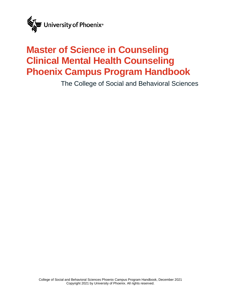

# <span id="page-0-0"></span>**Master of Science in Counseling Clinical Mental Health Counseling Phoenix Campus Program Handbook**

The College of Social and Behavioral Sciences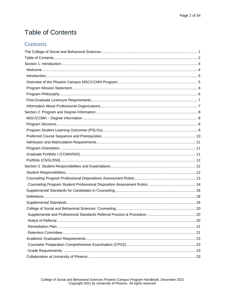## <span id="page-1-0"></span>**Table of Contents**

### Contents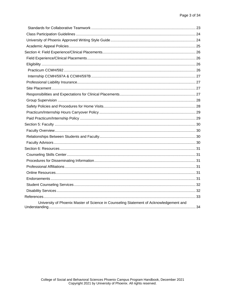| University of Phoenix Master of Science in Counseling Statement of Acknowledgement and |  |
|----------------------------------------------------------------------------------------|--|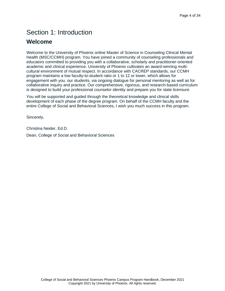## <span id="page-3-0"></span>Section 1: Introduction

### <span id="page-3-1"></span>**Welcome**

Welcome to the University of Phoenix online Master of Science in Counseling Clinical Mental Health (MSC/CCMH) program. You have joined a community of counseling professionals and educators committed to providing you with a collaborative, scholarly and practitioner-oriented academic and clinical experience. University of Phoenix cultivates an award-winning multicultural environment of mutual respect. In accordance with CACREP standards, our CCMH program maintains a low faculty-to-student ratio or 1 to 12 or lower, which allows for engagement with you, our students, via ongoing dialogue for personal mentoring as well as for collaborative inquiry and practice. Our comprehensive, rigorous, and research-based curriculum is designed to build your professional counselor identity and prepare you for state licensure.

You will be supported and guided through the theoretical knowledge and clinical skills development of each phase of the degree program. On behalf of the CCMH faculty and the entire College of Social and Behavioral Sciences, I wish you much success in this program.

Sincerely,

Christina Neider, Ed.D.

Dean, College of Social and Behavioral Sciences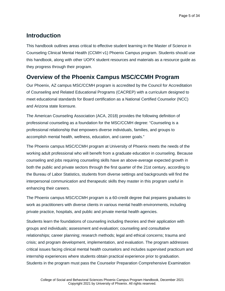### <span id="page-4-0"></span>**Introduction**

This handbook outlines areas critical to effective student learning in the Master of Science in Counseling Clinical Mental Health (CCMH v1) Phoenix Campus program. Students should use this handbook, along with other UOPX student resources and materials as a resource guide as they progress through their program.

### <span id="page-4-1"></span>**Overview of the Phoenix Campus MSC/CCMH Program**

Our Phoenix, AZ campus MSC/CCMH program is accredited by the Council for Accreditation of Counseling and Related Educational Programs (CACREP) with a curriculum designed to meet educational standards for Board certification as a National Certified Counselor (NCC) and Arizona state licensure.

The American Counseling Association (ACA, 2018) provides the following definition of professional counseling as a foundation for the MSC/CCMH degree: "Counseling is a professional relationship that empowers diverse individuals, families, and groups to accomplish mental health, wellness, education, and career goals."

The Phoenix campus MSC/CCMH program at University of Phoenix meets the needs of the working adult professional who will benefit from a graduate education in counseling. Because counseling and jobs requiring counseling skills have an above-average expected growth in both the public and private sectors through the first quarter of the 21st century, according to the Bureau of Labor Statistics, students from diverse settings and backgrounds will find the interpersonal communication and therapeutic skills they master in this program useful in enhancing their careers.

The Phoenix campus MSC/CCMH program is a 60-credit degree that prepares graduates to work as practitioners with diverse clients in various mental health environments, including private practice, hospitals, and public and private mental health agencies.

Students learn the foundations of counseling including theories and their application with groups and individuals; assessment and evaluation; counseling and consultative relationships; career planning; research methods; legal and ethical concerns; trauma and crisis; and program development, implementation, and evaluation. The program addresses critical issues facing clinical mental health counselors and includes supervised practicum and internship experiences where students obtain practical experience prior to graduation. Students in the program must pass the Counselor Preparation Comprehensive Examination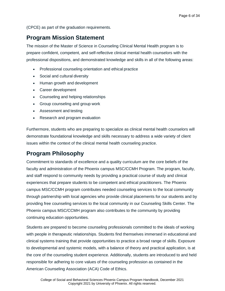(CPCE) as part of the graduation requirements.

### <span id="page-5-0"></span>**Program Mission Statement**

The mission of the Master of Science in Counseling Clinical Mental Health program is to prepare confident, competent, and self-reflective clinical mental health counselors with the professional dispositions, and demonstrated knowledge and skills in all of the following areas:

- Professional counseling orientation and ethical practice
- Social and cultural diversity
- Human growth and development
- Career development
- Counseling and helping relationships
- Group counseling and group work
- Assessment and testing
- Research and program evaluation

Furthermore, students who are preparing to specialize as clinical mental health counselors will demonstrate foundational knowledge and skills necessary to address a wide variety of client issues within the context of the clinical mental health counseling practice.

### <span id="page-5-1"></span>**Program Philosophy**

Commitment to standards of excellence and a quality curriculum are the core beliefs of the faculty and administration of the Phoenix campus MSC/CCMH Program. The program, faculty, and staff respond to community needs by providing a practical course of study and clinical experiences that prepare students to be competent and ethical practitioners. The Phoenix campus MSC/CCMH program contributes needed counseling services to the local community through partnership with local agencies who provide clinical placements for our students and by providing free counseling services to the local community in our Counseling Skills Center. The Phoenix campus MSC/CCMH program also contributes to the community by providing continuing education opportunities.

Students are prepared to become counseling professionals committed to the ideals of working with people in therapeutic relationships. Students find themselves immersed in educational and clinical systems training that provide opportunities to practice a broad range of skills. Exposure to developmental and systemic models, with a balance of theory and practical application, is at the core of the counseling student experience. Additionally, students are introduced to and held responsible for adhering to core values of the counseling profession as contained in the American Counseling Association (ACA) Code of Ethics.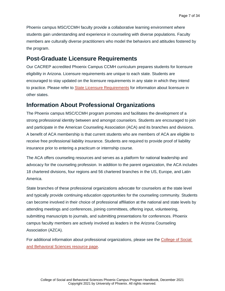Phoenix campus MSC/CCMH faculty provide a collaborative learning environment where students gain understanding and experience in counseling with diverse populations. Faculty members are culturally diverse practitioners who model the behaviors and attitudes fostered by the program.

### <span id="page-6-0"></span>**Post-Graduate Licensure Requirements**

Our CACREP accredited Phoenix Campus CCMH curriculum prepares students for licensure eligibility in Arizona. Licensure requirements are unique to each state. Students are encouraged to stay updated on the licensure requirements in any state in which they intend to practice. Please refer to [State Licensure Requirements](https://www.phoenix.edu/colleges/college-of-humanities-and-sciences/state-requirements.html) for information about licensure in other states.

### <span id="page-6-1"></span>**Information About Professional Organizations**

The Phoenix campus MSC/CCMH program promotes and facilitates the development of a strong professional identity between and amongst counselors. Students are encouraged to join and participate in the American Counseling Association (ACA) and its branches and divisions. A benefit of ACA membership is that current students who are members of ACA are eligible to receive free professional liability insurance. Students are required to provide proof of liability insurance prior to entering a practicum or internship course.

The ACA offers counseling resources and serves as a platform for national leadership and advocacy for the counseling profession. In addition to the parent organization, the ACA includes 18 chartered divisions, four regions and 56 chartered branches in the US, Europe, and Latin America.

State branches of these professional organizations advocate for counselors at the state level and typically provide continuing education opportunities for the counseling community. Students can become involved in their choice of professional affiliation at the national and state levels by attending meetings and conferences, joining committees, offering input, volunteering, submitting manuscripts to journals, and submitting presentations for conferences. Phoenix campus faculty members are actively involved as leaders in the Arizona Counseling Association (AZCA).

For additional information about professional organizations, please see the [College of Social](https://ecampus.phoenix.edu/secure/aapd/css/resources/)  [and Behavioral Sciences resource page.](https://ecampus.phoenix.edu/secure/aapd/css/resources/)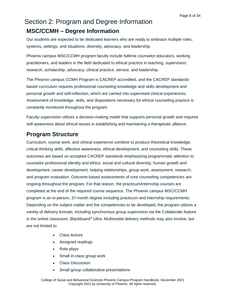## <span id="page-7-1"></span><span id="page-7-0"></span>Section 2: Program and Degree Information **MSC/CCMH – Degree Information**

Our students are expected to be dedicated learners who are ready to embrace multiple roles, systems, settings, and situations, diversity, advocacy, and leadership.

Phoenix campus MSC/CCMH program faculty include fulltime counselor educators, working practitioners, and leaders in the field dedicated to ethical practice in teaching, supervision, research, scholarship, advocacy, clinical practice, service, and leadership.

The Phoenix campus CCMH Program is CACREP accredited, and the CACREP standardsbased curriculum requires professional counseling knowledge and skills development and personal growth and self-reflection, which are carried into supervised clinical experiences. Assessment of knowledge, skills, and dispositions necessary for ethical counseling practice is constantly monitored throughout the program.

Faculty supervision utilizes a decision-making model that supports personal growth and requires self-awareness about ethical issues in establishing and maintaining a therapeutic alliance.

### <span id="page-7-2"></span>**Program Structure**

Curriculum, course work, and clinical experience combine to produce theoretical knowledge, critical thinking skills, affective awareness, ethical development, and counseling skills. These outcomes are based on accepted CACREP standards emphasizing programmatic attention to counselor professional identity and ethics, social and cultural diversity, human growth and development, career development, helping relationships, group work, assessment, research, and program evaluation. Outcome-based assessments of core counseling competencies are ongoing throughout the program. For that reason, the practicum/internship courses are completed at the end of the required course sequence. The Phoenix campus MSC/CCMH program is an in-person, 37-month degree including practicum and internship requirements. Depending on the subject matter and the competencies to be developed, the program utilizes a variety of delivery formats, including synchronous group supervision via the Collaborate feature in the online classroom, Blackboard® Ultra. Multimodal delivery methods may also involve, but are not limited to:

- Class lecture
- Assigned readings
- Role-plays
- Small in-class group work
- Class Discussion
- Small group collaborative presentations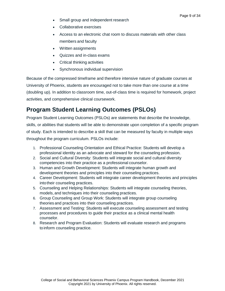- Small group and independent research
- Collaborative exercises
- Access to an electronic chat room to discuss materials with other class members and faculty
- Written assignments
- Quizzes and in-class exams
- Critical thinking activities
- Synchronous individual supervision

Because of the compressed timeframe and therefore intensive nature of graduate courses at University of Phoenix, students are encouraged not to take more than one course at a time (doubling up). In addition to classroom time, out-of-class time is required for homework, project activities, and comprehensive clinical coursework.

## <span id="page-8-0"></span>**Program Student Learning Outcomes (PSLOs)**

Program Student Learning Outcomes (PSLOs) are statements that describe the knowledge, skills, or abilities that students will be able to demonstrate upon completion of a specific program of study. Each is intended to describe a skill that can be measured by faculty in multiple ways throughout the program curriculum. PSLOs include:

- 1. Professional Counseling Orientation and Ethical Practice: Students will develop a professional identity as an advocate and steward for the counseling profession.
- 2. Social and Cultural Diversity: Students will integrate social and cultural diversity competencies into their practice as a professional counselor.
- 3. Human and Growth Development: Students will integrate human growth and development theories and principles into their counseling practices.
- 4. Career Development: Students will integrate career development theories and principles into their counseling practices.
- 5. Counseling and Helping Relationships: Students will integrate counseling theories, models, and techniques into their counseling practices.
- 6. Group Counseling and Group Work: Students will integrate group counseling theories and practices into their counseling practices.
- 7. Assessment and Testing: Students will execute counseling assessment and testing processes and procedures to guide their practice as a clinical mental health counselor.
- 8. Research and Program Evaluation: Students will evaluate research and programs toinform counseling practice.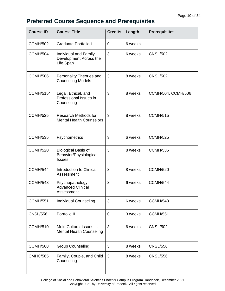## <span id="page-9-0"></span>**Preferred Course Sequence and Prerequisites**

| <b>Course ID</b> | <b>Course Title</b>                                                   | <b>Credits</b> | Length  | <b>Prerequisites</b> |
|------------------|-----------------------------------------------------------------------|----------------|---------|----------------------|
| <b>CCMH/502</b>  | <b>Graduate Portfolio I</b>                                           | $\overline{0}$ | 6 weeks |                      |
| <b>CCMH/504</b>  | Individual and Family<br>Development Across the<br>Life Span          | 3              | 6 weeks | <b>CNSL/502</b>      |
| <b>CCMH/506</b>  | Personality Theories and<br><b>Counseling Models</b>                  | 3              | 8 weeks | <b>CNSL/502</b>      |
| <b>CCMH/515*</b> | Legal, Ethical, and<br>Professional Issues in<br>Counseling           | 3              | 8 weeks | CCMH/504, CCMH/506   |
| <b>CCMH/525</b>  | <b>Research Methods for</b><br><b>Mental Health Counselors</b>        | 3              | 8 weeks | <b>CCMH/515</b>      |
| <b>CCMH/535</b>  | Psychometrics                                                         | 3              | 6 weeks | <b>CCMH/525</b>      |
| <b>CCMH/520</b>  | <b>Biological Basis of</b><br>Behavior/Physiological<br><b>Issues</b> | 3              | 8 weeks | <b>CCMH/535</b>      |
| <b>CCMH/544</b>  | Introduction to Clinical<br>Assessment                                | 3              | 8 weeks | <b>CCMH/520</b>      |
| <b>CCMH/548</b>  | Psychopathology:<br><b>Advanced Clinical</b><br>Assessment            | 3              | 6 weeks | <b>CCMH/544</b>      |
| <b>CCMH/551</b>  | <b>Individual Counseling</b>                                          | 3              | 6 weeks | <b>CCMH/548</b>      |
| <b>CNSL/556</b>  | Portfolio II                                                          | $\overline{0}$ | 3 weeks | <b>CCMH/551</b>      |
| <b>CCMH/510</b>  | Multi-Cultural Issues in<br><b>Mental Health Counseling</b>           | 3              | 6 weeks | <b>CNSL/502</b>      |
| <b>CCMH/568</b>  | <b>Group Counseling</b>                                               | 3              | 8 weeks | <b>CNSL/556</b>      |
| <b>CMHC/565</b>  | Family, Couple, and Child<br>Counseling                               | 3              | 8 weeks | <b>CNSL/556</b>      |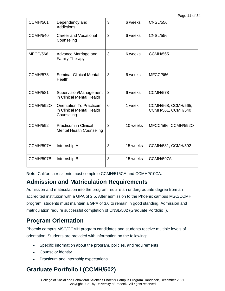| <b>CCMH/561</b>  | Dependency and<br><b>Addictions</b>                                        | 3        | 6 weeks  | <b>CNSL/556</b>                           |
|------------------|----------------------------------------------------------------------------|----------|----------|-------------------------------------------|
| <b>CCMH/540</b>  | <b>Career and Vocational</b><br>Counseling                                 | 3        | 6 weeks  | <b>CNSL/556</b>                           |
| MFCC/566         | Advance Marriage and<br><b>Family Therapy</b>                              | 3        | 6 weeks  | <b>CCMH/565</b>                           |
| <b>CCMH/578</b>  | <b>Seminar Clinical Mental</b><br>Health                                   | 3        | 6 weeks  | MFCC/566                                  |
| <b>CCMH/581</b>  | Supervision/Management<br>in Clinical Mental Health                        | 3        | 6 weeks  | <b>CCMH/578</b>                           |
| <b>CCMH/592O</b> | <b>Orientation To Practicum</b><br>in Clinical Mental Health<br>Counseling | $\Omega$ | 1 week   | CCMH/568, CCMH/565,<br>CCMH/561, CCMH/540 |
| <b>CCMH/592</b>  | <b>Practicum in Clinical</b><br><b>Mental Health Counseling</b>            | 3        | 10 weeks | MFCC/566, CCMH/592O                       |
| CCMH/597A        | Internship A                                                               | 3        | 15 weeks | CCMH/581, CCMH/592                        |
| CCMH/597B        | Internship B                                                               | 3        | 15 weeks | CCMH/597A                                 |

**Note**: California residents must complete CCMH/515CA and CCMH/510CA.

### <span id="page-10-0"></span>**Admission and Matriculation Requirements**

Admission and matriculation into the program require an undergraduate degree from an accredited institution with a GPA of 2.5. After admission to the Phoenix campus MSC/CCMH program, students must maintain a GPA of 3.0 to remain in good standing. Admission and matriculation require successful completion of CNSL/502 (Graduate Portfolio I).

### <span id="page-10-1"></span>**Program Orientation**

Phoenix campus MSC/CCMH program candidates and students receive multiple levels of orientation. Students are provided with information on the following:

- Specific information about the program, policies, and requirements
- Counselor identity
- Practicum and internship expectations

## <span id="page-10-2"></span>**Graduate Portfolio I (CCMH/502)**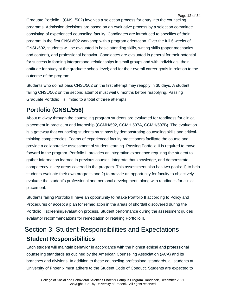Graduate Portfolio I (CNSL/502) involves a selection process for entry into the counseling programs. Admission decisions are based on an evaluative process by a selection committee consisting of experienced counseling faculty. Candidates are introduced to specifics of their program in the first CNSL/502 workshop with a program orientation. Over the full 6 weeks of CNSL/502, students will be evaluated in basic attending skills, writing skills (paper mechanics and content), and professional behavior. Candidates are evaluated in general for their potential for success in forming interpersonal relationships in small groups and with individuals; their aptitude for study at the graduate school level; and for their overall career goals in relation to the outcome of the program.

Students who do not pass CNSL/502 on the first attempt may reapply in 30 days. A student failing CNSL/502 on the second attempt must wait 6 months before reapplying. Passing Graduate Portfolio I is limited to a total of three attempts.

## <span id="page-11-0"></span>**Portfolio (CNSL/556)**

About midway through the counseling program students are evaluated for readiness for clinical placement in practicum and internship (CCMH/592, CCMH 597A, CCMH/597B). The evaluation is a gateway that counseling students must pass by demonstrating counseling skills and criticalthinking competencies. Teams of experienced faculty practitioners facilitate the course and provide a collaborative assessment of student learning. Passing Portfolio II is required to move forward in the program. Portfolio II provides an integrative experience requiring the student to gather information learned in previous courses, integrate that knowledge, and demonstrate competency in key areas covered in the program. This assessment also has two goals: 1) to help students evaluate their own progress and 2) to provide an opportunity for faculty to objectively evaluate the student's professional and personal development, along with readiness for clinical placement.

Students failing Portfolio II have an opportunity to retake Portfolio II according to Policy and Procedures or accept a plan for remediation in the areas of shortfall discovered during the Portfolio II screening/evaluation process. Student performance during the assessment guides evaluator recommendations for remediation or retaking Portfolio II.

## <span id="page-11-2"></span><span id="page-11-1"></span>Section 3: Student Responsibilities and Expectations **Student Responsibilities**

Each student will maintain behavior in accordance with the highest ethical and professional counseling standards as outlined by the American Counseling Association (ACA) and its branches and divisions. In addition to these counseling professional standards, all students at University of Phoenix must adhere to the Student Code of Conduct. Students are expected to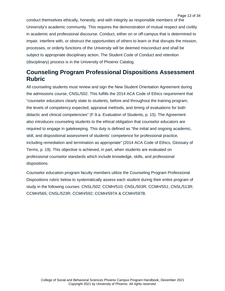conduct themselves ethically, honestly, and with integrity as responsible members of the University's academic community. This requires the demonstration of mutual respect and civility in academic and professional discourse. Conduct, either on or off-campus that is determined to impair, interfere with, or obstruct the opportunities of others to learn or that disrupts the mission, processes, or orderly functions of the University will be deemed misconduct and shall be subject to appropriate disciplinary action. The Student Code of Conduct and retention (disciplinary) process is in the University of Phoenix Catalog.

### <span id="page-12-0"></span>**Counseling Program Professional Dispositions Assessment Rubric**

All counseling students must review and sign the New Student Orientation Agreement during the admissions course, CNSL/502. This fulfills the 2014 ACA Code of Ethics requirement that "counselor educators clearly state to students, before and throughout the training program, the levels of competency expected, appraisal methods, and timing of evaluations for both didactic and clinical competencies" (F.9.a. Evaluation of Students, p. 15). The Agreement also introduces counseling students to the ethical obligation that counselor educators are required to engage in gatekeeping. This duty is defined as "the initial and ongoing academic, skill, and dispositional assessment of students' competence for professional practice, including remediation and termination as appropriate" (2014 ACA Code of Ethics, Glossary of Terms, p. 19). This objective is achieved, in part, when students are evaluated on professional counselor standards which include knowledge, skills, and professional dispositions.

Counselor education program faculty members utilize the Counseling Program Professional Dispositions rubric below to systematically assess each student during their entire program of study in the following courses: CNSL/502; CCMH/510; CNSL/503R; CCMH/551; CNSL/513R; CCMH/565; CNSL/523R; CCMH/592; CCMH/597A & CCMH/597B.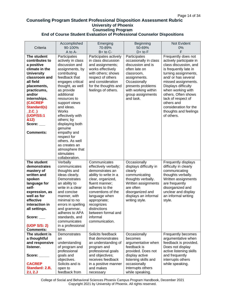#### <span id="page-13-0"></span>**Counseling Program Student Professional Disposition Assessment Rubric University of Phoenix Counseling Program End of Course Student Evaluation of Professional Counselor Dispositions**

| Criteria                    | Accomplished<br>90-100%    | Emerging<br>70-89%    | <b>Beginning</b><br>50-69% | Not Evident<br>0%       |
|-----------------------------|----------------------------|-----------------------|----------------------------|-------------------------|
|                             | A to A-                    | $B+$ to $C-$          | $D+$ to $F$                | F                       |
| The student                 | Participates               | Participates actively | Participates               | Frequently does not     |
| contributes to              | actively in class          | in class discussion   | occasionally in class      | actively participate in |
| a positive                  | discussion and             | and assignments;      | discussion and is          | class discussion, and   |
| climate in the              | assignments, by            | works effectively     | often late on              | is frequently late in   |
| <b>University</b>           | contributing               | with others; shows    | classroom,                 | turning assignments,    |
| classroom and               | feedback that              | respect of others     | assignments.               | and/ or has several     |
| all field                   | engages critical           | and consideration     | Occasionally               | missed assignments.     |
| placements,                 | thought, as well           | for the thoughts and  | presents problems          | Displays difficulty     |
| practicums,                 | as provide                 | feelings of others.   | with working within        | when working with       |
| and/or                      | additional                 |                       | group assignments          | others. Often shows     |
| internships.                | resources to               |                       | and task.                  | lack of respect of      |
| (CACREP                     | support views              |                       |                            | others and              |
| <b>Standard(s)</b>          | and ideas.                 |                       |                            | consideration for the   |
| $2.C$ )                     | Works                      |                       |                            | thoughts and feelings   |
| (UOP/SS:1                   | effectively with           |                       |                            | of others.              |
| &12)                        | others; by                 |                       |                            |                         |
| Score: $\_\_$               |                            |                       |                            |                         |
|                             | displaying both<br>genuine |                       |                            |                         |
| <b>Comments:</b>            | empathy and                |                       |                            |                         |
|                             | respect for                |                       |                            |                         |
|                             |                            |                       |                            |                         |
|                             | others. As well            |                       |                            |                         |
|                             | as creates an              |                       |                            |                         |
|                             | atmosphere that            |                       |                            |                         |
|                             | stimulates                 |                       |                            |                         |
|                             | collaboration.             |                       |                            |                         |
| The student                 | Verbally                   | Communicates          | Occasionally               | Frequently displays     |
| demonstrates                | communicates               | effectively verbally; | displays difficulty in     | difficulty in clearly   |
| mastery of                  | thoughts and               | demonstrates an       | clearly                    | communicating           |
| written and                 | ideas clearly.             | ability to write in a | communicating              | thoughts verbally.      |
| spoken                      | Demonstrates               | clear, organized,     | thoughts verbally.         | Written assignments     |
| language for                | an ability to              | fluent manner:        | Written assignments        | are frequently          |
| self-                       | write in a clear           | adheres to the        | are often                  | disorganized and        |
| expression, as              | and concise                | conventions of the    | disorganized and           | unclear and display     |
| well as for                 | manner, with               | language when         | displays an informal       | an informal writing     |
| effective                   | minimal to no              | appropriate;          | writing style.             | style.                  |
| interaction in              | errors in spelling         | recognizes            |                            |                         |
| all settings.               | and grammar,               | distinctions          |                            |                         |
|                             | adheres to APA             | between formal and    |                            |                         |
| Score: $\rule{1em}{0.15mm}$ | standards, and             | informal              |                            |                         |
|                             | communicates               | communication.        |                            |                         |
| (UOP S/S: 2)                | in a professional          |                       |                            |                         |
| <b>Comments:</b>            | tone.                      |                       |                            |                         |
| The student is              | Demonstrates               | Solicits feedback     | Occasionally               | Frequently becomes      |
| a thoughtful                | an                         | that demonstrates     | becomes                    | argumentative when      |
| and responsive              | understanding              | an understanding of   | argumentative when         | feedback is provided.   |
| listener.                   | of program and             | program and           | feedback is                | Does not display        |
|                             | professional               | professional goals    | provided. Does not         | active listening skills |
| Score: $\_\_$               | goals and                  | and objectives;       | display active             | and frequently          |
|                             | objectives.                | receives feedback     | listening skills and       | interrupts others       |
| <b>CACREP</b>               | Solicits and is            | in a positive manner  | occasionally               | while speaking.         |
| Standard: 2.B,              | open to                    | and makes             | interrupts others          |                         |
| 2.1, 2. J                   | feedback from              | necessary             | while speaking.            |                         |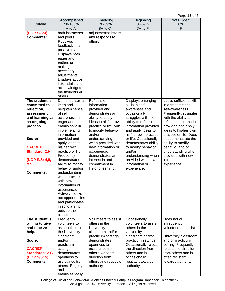| Criteria                   | Accomplished<br>90-100%              | Emerging<br>70-89%                  | <b>Beginning</b><br>50-69%                    | Not Evident<br>0%                        |
|----------------------------|--------------------------------------|-------------------------------------|-----------------------------------------------|------------------------------------------|
|                            | A to A-                              | $B+$ to $C-$                        | $D+$ to $F$                                   | F                                        |
| (UOP S/S:3)                | both instructors                     | adjustments; listens                |                                               |                                          |
| <b>Comments:</b>           | and peers.                           | and responds to                     |                                               |                                          |
|                            | <b>Receives</b>                      | others.                             |                                               |                                          |
|                            | feedback in a                        |                                     |                                               |                                          |
|                            | positive manner.<br>Displays both    |                                     |                                               |                                          |
|                            | eager and                            |                                     |                                               |                                          |
|                            | enthusiasm in                        |                                     |                                               |                                          |
|                            | making                               |                                     |                                               |                                          |
|                            | necessary                            |                                     |                                               |                                          |
|                            | adjustments;                         |                                     |                                               |                                          |
|                            | Displays active<br>listen skills and |                                     |                                               |                                          |
|                            | acknowledges                         |                                     |                                               |                                          |
|                            | the thoughts of                      |                                     |                                               |                                          |
|                            | others.                              |                                     |                                               |                                          |
| The student is             | Demonstrates a                       | Reflects on                         | Displays emerging                             | Lacks sufficient skills                  |
| committed to               | keen and                             | information                         | skills in self-                               | in demonstrating                         |
| reflection,<br>assessment, | heighten sense<br>of self            | provided and<br>demonstrates an     | awareness and<br>occasionally                 | self-awareness.<br>Frequently, struggles |
| and learning as            | awareness. Is                        | ability to apply                    | struggles with the                            | with the ability to                      |
| an ongoing                 | eager and                            | ideas to his/her own                | ability to reflect on                         | reflect on information                   |
| process.                   | enthusiastic in                      | practice or life; able              | information provided                          | provided and apply                       |
|                            | implementing                         | to modify behavior                  | and apply ideas to                            | ideas to his/her own                     |
|                            | information                          | and/or                              | his/her own practice                          | practice or life. Does                   |
| Score:                     | provided and<br>apply ideas to       | understanding<br>when provided with | or life. Occasionally<br>demonstrates ability | not demonstrate the<br>ability to modify |
| <b>CACREP</b>              | his/her own                          | new information or                  | to modify behavior                            | behavior and/or                          |
| <b>Standard: 2.H</b>       | practice or life.                    | experience;                         | and/or                                        | understanding when                       |
|                            | Frequently                           | demonstrates an                     | understanding when                            | provided with new                        |
| (UOP S/S: 4,8,             | demonstrates                         | interest in and                     | provided with new                             | information or                           |
| & 9)                       | ability to modify<br>behavior and/or | commitment to<br>lifelong learning. | information or<br>experience.                 | experience.                              |
| <b>Comments:</b>           | understanding                        |                                     |                                               |                                          |
|                            | when provided                        |                                     |                                               |                                          |
|                            | with new                             |                                     |                                               |                                          |
|                            | information or                       |                                     |                                               |                                          |
|                            | experience.<br>Actively, seeks       |                                     |                                               |                                          |
|                            | out opportunities                    |                                     |                                               |                                          |
|                            | and participates                     |                                     |                                               |                                          |
|                            | in scholarship                       |                                     |                                               |                                          |
|                            | outside the                          |                                     |                                               |                                          |
| The student is             | classroom.<br>Frequently,            | Volunteers to assist                | Occasionally                                  | Does not or                              |
| willing to give            | volunteers to                        | others in the                       | volunteers to assist                          | infrequently                             |
| and receive                | assist others in                     | <b>University</b>                   | others in the                                 | volunteers to assist                     |
| help.                      | the University                       | classroom and/or                    | <b>University</b>                             | others in the                            |
|                            | classroom                            | practicum settings;                 | classroom and/or                              | University classroom                     |
| Score:                     | and/or<br>practicum                  | demonstrates<br>openness to         | practicum settings.<br>Occasionally rejects   | and/or practicum<br>setting. Frequently  |
| <b>CACREP</b>              | settings;                            | assistance from                     | the direction from                            | rejects the direction                    |
| <b>Standards: 2.G</b>      | demonstrates                         | others. Accepts                     | others and is                                 | from others and is                       |
| (UOP S/S: 5)               | openness to                          | direction from                      | occasionally                                  | often resistant                          |
| <b>Comments</b>            | assistance from                      | others and respects                 | resistant towards                             | towards authority.                       |
|                            | others. Eagerly<br>and               | authority.                          | authority.                                    |                                          |
|                            | enthusiastically,                    |                                     |                                               |                                          |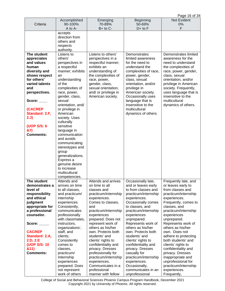Page 16 of 34

|                  | Accomplished                         | Emerging                                | <b>Beginning</b>                       | . uyu .u u u<br>Not Evident       |
|------------------|--------------------------------------|-----------------------------------------|----------------------------------------|-----------------------------------|
| Criteria         | 90-100%                              | 70-89%                                  | 50-69%                                 | 0%                                |
|                  | A to A-                              | B+ to C-                                | $D+$ to $F$                            | F                                 |
|                  | accepts                              |                                         |                                        |                                   |
|                  | direction from<br>others and         |                                         |                                        |                                   |
|                  |                                      |                                         |                                        |                                   |
|                  | respects<br>authority.               |                                         |                                        |                                   |
| The student      | Listens to                           | Listens to others'                      | Demonstrates                           | Demonstrates limited              |
| appreciates      | others'                              | perspectives in a                       | limited awareness                      | awareness for the                 |
| and values       | perspectives in                      | respectful manner;                      | for the need to                        | need to understand                |
| human            | a respectful                         | exhibits an                             | understand the                         | the complexities of               |
| diversity and    | manner; exhibits                     | understanding of                        | complexities of race,                  | race, power, gender,              |
| shows respect    | an                                   | the complexities of                     | power, gender,                         | class, sexual                     |
| for others'      | understanding                        | race, power,                            | class, sexual                          | orientation, and/or               |
| varied talents   | of the                               | gender, class,                          | orientation, and/or                    | privilege in American             |
| and              | complexities of                      | sexual orientation,                     | privilege in                           | society. Frequently,              |
| perspectives.    | race, power,                         | and/ or privilege in                    | American society.                      | uses language that is             |
|                  | gender, class,                       | American society.                       | Occasionally uses                      | insensitive to the                |
| Score: $\_\_$    | sexual                               |                                         | language that is<br>insensitive to the | multicultural                     |
| (CACREP          | orientation, and/<br>or privilege in |                                         | multicultural                          | dynamics of others.               |
| Standard: 2.F,   | American                             |                                         | dynamics of others.                    |                                   |
| 2.J)             | society. Uses                        |                                         |                                        |                                   |
|                  | culturally                           |                                         |                                        |                                   |
| (UOP S/S: 6      | sensitive                            |                                         |                                        |                                   |
| &7)              | language in                          |                                         |                                        |                                   |
| <b>Comments:</b> | communication                        |                                         |                                        |                                   |
|                  | and avoids                           |                                         |                                        |                                   |
|                  | communicating                        |                                         |                                        |                                   |
|                  | stereotypes and                      |                                         |                                        |                                   |
|                  | group                                |                                         |                                        |                                   |
|                  | generalizations.                     |                                         |                                        |                                   |
|                  | Express a<br>genuine desire          |                                         |                                        |                                   |
|                  | to increase                          |                                         |                                        |                                   |
|                  | multicultural                        |                                         |                                        |                                   |
|                  | competencies.                        |                                         |                                        |                                   |
| The student      | Attends and                          | Attends and arrives                     | Occasionally late,                     | Frequently late, and              |
| demonstrates a   | arrives on time                      | on time to all                          | and or leaves early                    | or leaves early to                |
| level of         | to all classes,                      | classes and                             | to from classes and                    | from classes and                  |
| responsibility   | and practicum/                       | practicum/internship                    | practicum/internship                   | practicum/internship              |
| and ethical      | internship                           | experiences.                            | experiences.                           | experiences.                      |
| judgment         | experiences                          | Comes to classes,                       | Occasionally comes                     | Frequently, comes to              |
| appropriate for  | Consistently,                        | and                                     | to classes, and                        | classes, and                      |
| a professional   | communicates                         | practicum/internship                    | practicum/internship                   | practicum/internship              |
| counselor.       | professionally<br>with classmates,   | experiences                             | experiences                            | experiences                       |
| Score:           | instructors,                         | prepared. Does not<br>represent work of | unprepared.<br>Represents work of      | unprepared.<br>Represents work of |
|                  | organizations',                      | others as his/her                       | others as his/her                      | others as his/her                 |
| <b>CACREP</b>    | staff, and                           | own. Protects both                      | own. Protects both                     | own. Does not                     |
| Standard: 2.A,   | clients;                             | students' and                           | students' and                          | adhere to protecting              |
| 2.D, 2.E         | Consistently                         | clients' rights to                      | clients' rights to                     | both students' and                |
| (UOP S/S: 10     | comes to                             | confidentiality and                     | confidentiality and                    | clients' rights to                |
| &11)             | classes,                             | privacy. Dresses                        | privacy. Dresses                       | confidentiality and               |
| <b>Comments:</b> | practicum/                           | professionally for                      | casually for                           | privacy. Dresses                  |
|                  | Internship                           | practicum/internship                    | practicum/internship                   | inappropriate and                 |
|                  | experiences                          | experiences.                            | experiences.                           | unprofessional for                |
|                  | prepared; Does                       | Communicates in a                       | Occasionally,                          | practicum/internship              |
|                  | not represent<br>work of others      | professional<br>manner with fellow      | communicates in an<br>unprofessional   | experiences.<br>Frequently,       |
|                  |                                      |                                         |                                        |                                   |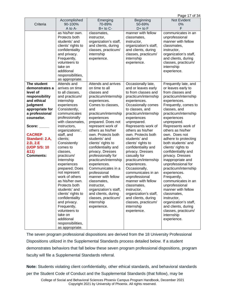Page 17 of 34

|                  |                    |                       |                       | ד העיוויס קו<br>Not Evident |
|------------------|--------------------|-----------------------|-----------------------|-----------------------------|
|                  | Accomplished       | Emerging              | <b>Beginning</b>      |                             |
| Criteria         | 90-100%            | 70-89%                | 50-69%                | 0%                          |
|                  | A to A-            | $B+$ to $C-$          | $D+$ to $F$           | F                           |
|                  | as his/her own.    | classmates,           | manner with fellow    | communicates in an          |
|                  | Protects both      | instructor,           | classmates,           | unprofessional              |
|                  | students' and      | organization's staff, | instructor,           | manner with fellow          |
|                  | clients' rights to | and clients, during   | organization's staff, | classmates,                 |
|                  | confidentiality    | classes, practicum/   | and clients, during   | instructor,                 |
|                  | and privacy.       | internship            | classes, practicum/   | organization's staff,       |
|                  | Frequently,        | experience.           | internship            | and clients, during         |
|                  | volunteers to      |                       | experience.           | classes, practicum/         |
|                  | take on            |                       |                       | internship                  |
|                  | additional         |                       |                       | experience.                 |
|                  | responsibilities,  |                       |                       |                             |
|                  | as appropriate.    |                       |                       |                             |
| The student      | Attends and        | Attends and arrives   | Occasionally late,    | Frequently late, and        |
| demonstrates a   | arrives on time    | on time to all        | and or leaves early   | or leaves early to          |
| level of         | to all classes,    | classes and           | to from classes and   | from classes and            |
| responsibility   | and practicum/     | practicum/internship  | practicum/internship  | practicum/internship        |
| and ethical      | internship         | experiences.          | experiences.          | experiences.                |
| judgment         | experiences        | Comes to classes,     | Occasionally comes    | Frequently, comes to        |
| appropriate for  | Consistently,      | and                   | to classes, and       | classes, and                |
| a professional   | communicates       | practicum/internship  | practicum/internship  | practicum/internship        |
| counselor.       | professionally     | experiences           | experiences           | experiences                 |
|                  | with classmates,   | prepared. Does not    | unprepared.           | unprepared.                 |
| Score:           | instructors,       | represent work of     | Represents work of    | Represents work of          |
|                  | organizations',    | others as his/her     | others as his/her     | others as his/her           |
| <b>CACREP</b>    | staff, and         | own. Protects both    | own. Protects both    | own. Does not               |
| Standard: 2.A,   | clients;           | students' and         | students' and         | adhere to protecting        |
| 2.D, 2.E         | Consistently       | clients' rights to    | clients' rights to    | both students' and          |
| (UOP S/S: 10     | comes to           | confidentiality and   | confidentiality and   | clients' rights to          |
| &11)             | classes,           | privacy. Dresses      | privacy. Dresses      | confidentiality and         |
| <b>Comments:</b> | practicum/         | professionally for    | casually for          | privacy. Dresses            |
|                  | Internship         | practicum/internship  | practicum/internship  | inappropriate and           |
|                  | experiences        | experiences.          | experiences.          | unprofessional for          |
|                  | prepared; Does     | Communicates in a     | Occasionally,         | practicum/internship        |
|                  | not represent      | professional          | communicates in an    | experiences.                |
|                  | work of others     | manner with fellow    | unprofessional        | Frequently,                 |
|                  | as his/her own.    | classmates,           | manner with fellow    | communicates in an          |
|                  | Protects both      | instructor,           | classmates,           | unprofessional              |
|                  | students' and      | organization's staff, | instructor,           | manner with fellow          |
|                  | clients' rights to | and clients, during   | organization's staff, | classmates,                 |
|                  | confidentiality    | classes, practicum/   | and clients, during   | instructor,                 |
|                  | and privacy.       | internship            | classes, practicum/   | organization's staff,       |
|                  | Frequently,        | experience.           | internship            | and clients, during         |
|                  | volunteers to      |                       | experience.           | classes, practicum/         |
|                  | take on            |                       |                       | internship                  |
|                  | additional         |                       |                       | experience.                 |
|                  | responsibilities,  |                       |                       |                             |
|                  |                    |                       |                       |                             |
|                  | as appropriate.    |                       |                       |                             |

The seven program professional dispositions are derived from the 18 University Professional Dispositions utilized in the Supplemental Standards process detailed below. If a student demonstrates behaviors that fall below these seven program professional dispositions, program faculty will file a Supplemental Standards referral.

**Note:** Students violating client confidentiality, other ethical standards, and behavioral standards per the Student Code of Conduct and the Supplemental Standards (that follow), may be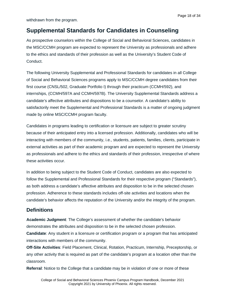<span id="page-17-0"></span>withdrawn from the program.

As prospective counselors within the College of Social and Behavioral Sciences, candidates in the MSC/CCMH program are expected to represent the University as professionals and adhere to the ethics and standards of their profession as well as the University's Student Code of Conduct.

The following University Supplemental and Professional Standards for candidates in all College of Social and Behavioral Sciences programs apply to MSC/CCMH degree candidates from their first course (CNSL/502, Graduate Portfolio I) through their practicum (CCMH/592), and internships, (CCMH/597A and CCMH/597B). The University Supplemental Standards address a candidate's affective attributes and dispositions to be a counselor. A candidate's ability to satisfactorily meet the Supplemental and Professional Standards is a matter of ongoing judgment made by online MSC/CCMH program faculty.

Candidates in programs leading to certification or licensure are subject to greater scrutiny because of their anticipated entry into a licensed profession. Additionally, candidates who will be interacting with members of the community, i.e., students, patients, families, clients, participate in external activities as part of their academic program and are expected to represent the University as professionals and adhere to the ethics and standards of their profession, irrespective of where these activities occur.

In addition to being subject to the Student Code of Conduct, candidates are also expected to follow the Supplemental and Professional Standards for their respective program ("Standards"), as both address a candidate's affective attributes and disposition to be in the selected chosen profession. Adherence to these standards includes off-site activities and locations when the candidate's behavior affects the reputation of the University and/or the integrity of the program.

### <span id="page-17-1"></span>**Definitions**

**Academic Judgment**: The College's assessment of whether the candidate's behavior demonstrates the attributes and disposition to be in the selected chosen profession. **Candidate**: Any student in a licensure or certification program or a program that has anticipated interactions with members of the community.

**Off-Site Activities**: Field Placement, Clinical, Rotation, Practicum, Internship, Preceptorship, or any other activity that is required as part of the candidate's program at a location other than the classroom.

**Referral**: Notice to the College that a candidate may be in violation of one or more of these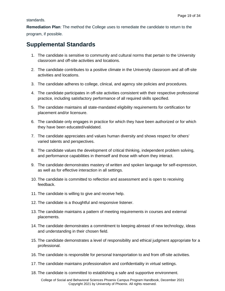standards.

**Remediation Plan**: The method the College uses to remediate the candidate to return to the program, if possible.

### <span id="page-18-0"></span>**Supplemental Standards**

- 1. The candidate is sensitive to community and cultural norms that pertain to the University classroom and off-site activities and locations.
- 2. The candidate contributes to a positive climate in the University classroom and all off-site activities and locations.
- 3. The candidate adheres to college, clinical, and agency site policies and procedures.
- 4. The candidate participates in off-site activities consistent with their respective professional practice, including satisfactory performance of all required skills specified.
- 5. The candidate maintains all state-mandated eligibility requirements for certification for placement and/or licensure.
- 6. The candidate only engages in practice for which they have been authorized or for which they have been educated/validated.
- 7. The candidate appreciates and values human diversity and shows respect for others' varied talents and perspectives.
- 8. The candidate values the development of critical thinking, independent problem solving, and performance capabilities in themself and those with whom they interact.
- 9. The candidate demonstrates mastery of written and spoken language for self-expression, as well as for effective interaction in all settings.
- 10. The candidate is committed to reflection and assessment and is open to receiving feedback.
- 11. The candidate is willing to give and receive help.
- 12. The candidate is a thoughtful and responsive listener.
- 13. The candidate maintains a pattern of meeting requirements in courses and external placements.
- 14. The candidate demonstrates a commitment to keeping abreast of new technology, ideas and understanding in their chosen field.
- 15. The candidate demonstrates a level of responsibility and ethical judgment appropriate for a professional.
- 16. The candidate is responsible for personal transportation to and from off-site activities.
- 17. The candidate maintains professionalism and confidentiality in virtual settings.
- 18. The candidate is committed to establishing a safe and supportive environment.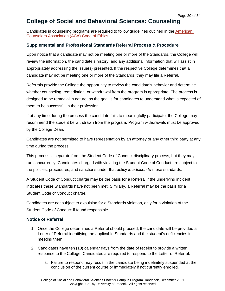### <span id="page-19-0"></span>**College of Social and Behavioral Sciences: Counseling**

Candidates in counseling programs are required to follow guidelines outlined in the [American](https://www.counseling.org/Resources/aca-code-of-ethics.pdf)  [Counselors Association \(ACA\) Code of Ethics.](https://www.counseling.org/Resources/aca-code-of-ethics.pdf)

#### <span id="page-19-1"></span>**Supplemental and Professional Standards Referral Process & Procedure**

Upon notice that a candidate may not be meeting one or more of the Standards, the College will review the information, the candidate's history, and any additional information that will assist in appropriately addressing the issue(s) presented. If the respective College determines that a candidate may not be meeting one or more of the Standards, they may file a Referral.

Referrals provide the College the opportunity to review the candidate's behavior and determine whether counseling, remediation, or withdrawal from the program is appropriate. The process is designed to be remedial in nature, as the goal is for candidates to understand what is expected of them to be successful in their profession.

If at any time during the process the candidate fails to meaningfully participate, the College may recommend the student be withdrawn from the program. Program withdrawals must be approved by the College Dean.

Candidates are not permitted to have representation by an attorney or any other third party at any time during the process.

This process is separate from the Student Code of Conduct disciplinary process, but they may run concurrently. Candidates charged with violating the Student Code of Conduct are subject to the policies, procedures, and sanctions under that policy *in addition to* these standards.

A Student Code of Conduct charge may be the basis for a Referral if the underlying incident indicates these Standards have not been met. Similarly, a Referral may be the basis for a Student Code of Conduct charge.

Candidates are not subject to expulsion for a Standards violation, only for a violation of the Student Code of Conduct if found responsible.

#### <span id="page-19-2"></span>**Notice of Referral**

- 1. Once the College determines a Referral should proceed, the candidate will be provided a Letter of Referral identifying the applicable Standards and the student's deficiencies in meeting them.
- 2. Candidates have ten (10) calendar days from the date of receipt to provide a written response to the College. Candidates are required to respond to the Letter of Referral.
	- a. Failure to respond may result in the candidate being indefinitely suspended at the conclusion of the current course or immediately if not currently enrolled.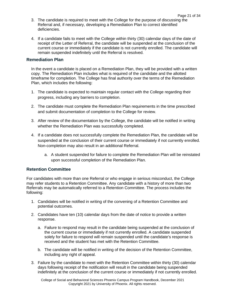- 3. The candidate is required to meet with the College for the purpose of discussing the Referral and, if necessary, developing a Remediation Plan to correct identified deficiencies.
- 4. If a candidate fails to meet with the College within thirty (30) calendar days of the date of receipt of the Letter of Referral, the candidate will be suspended at the conclusion of the current course or immediately if the candidate is not currently enrolled. The candidate will remain suspended indefinitely until the Referral is resolved.

#### <span id="page-20-0"></span>**Remediation Plan**

In the event a candidate is placed on a Remediation Plan, they will be provided with a written copy. The Remediation Plan includes what is required of the candidate and the allotted timeframe for completion. The College has final authority over the terms of the Remediation Plan, which includes the following:

- 1. The candidate is expected to maintain regular contact with the College regarding their progress, including any barriers to completion.
- 2. The candidate must complete the Remediation Plan requirements in the time prescribed and submit documentation of completion to the College for review.
- 3. After review of the documentation by the College, the candidate will be notified in writing whether the Remediation Plan was successfully completed.
- 4. If a candidate does not successfully complete the Remediation Plan, the candidate will be suspended at the conclusion of their current course or immediately if not currently enrolled. Non-completion may also result in an additional Referral.
	- a. A student suspended for failure to complete the Remediation Plan will be reinstated upon successful completion of the Remediation Plan.

#### <span id="page-20-1"></span>**Retention Committee**

For candidates with more than one Referral or who engage in serious misconduct, the College may refer students to a Retention Committee. Any candidate with a history of more than two Referrals may be automatically referred to a Retention Committee. The process includes the following:

- 1. Candidates will be notified in writing of the convening of a Retention Committee and potential outcomes.
- 2. Candidates have ten (10) calendar days from the date of notice to provide a written response.
	- a. Failure to respond may result in the candidate being suspended at the conclusion of the current course or immediately if not currently enrolled. A candidate suspended solely for failure to respond will remain suspended until the candidate's response is received and the student has met with the Retention Committee.
	- b. The candidate will be notified in writing of the decision of the Retention Committee, including any right of appeal.
- 3. Failure by the candidate to meet with the Retention Committee within thirty (30) calendar days following receipt of the notification will result in the candidate being suspended indefinitely at the conclusion of the current course or immediately if not currently enrolled.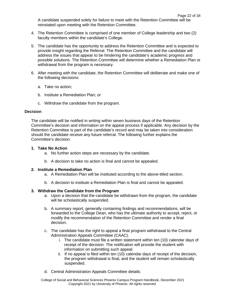A candidate suspended solely for failure to meet with the Retention Committee will be reinstated upon meeting with the Retention Committee.

- 4. The Retention Committee is comprised of one member of College leadership and two (2) faculty members within the candidate's College.
- 5. The candidate has the opportunity to address the Retention Committee and is expected to provide insight regarding the Referral. The Retention Committee and the candidate will address the issues that appear to be hindering the candidate's academic progress and possible solutions. The Retention Committee will determine whether a Remediation Plan or withdrawal from the program is necessary.
- 6. After meeting with the candidate, the Retention Committee will deliberate and make one of the following decisions:
	- a. Take no action;
	- b. Institute a Remediation Plan; or
	- c. Withdraw the candidate from the program.

#### **Decision**

The candidate will be notified in writing within seven business days of the Retention Committee's decision and information on the appeal process if applicable. Any decision by the Retention Committee is part of the candidate's record and may be taken into consideration should the candidate receive any future referral. The following further explains the Committee's decision:

#### **1. Take No Action**

- a. No further action steps are necessary by the candidate.
- b. A decision to take no action is final and cannot be appealed.

#### **2. Institute a Remediation Plan**

- a. A Remediation Plan will be instituted according to the above-titled section.
- b. A decision to institute a Remediation Plan is final and cannot be appealed.

#### **3. Withdraw the Candidate from the Program**

- a. Upon a decision that the candidate be withdrawn from the program, the candidate will be scholastically suspended.
- b. A summary report, generally containing findings and recommendations, will be forwarded to the College Dean, who has the ultimate authority to accept, reject, or modify the recommendation of the Retention Committee and render a final decision.
- c. The candidate has the right to appeal a final program withdrawal to the Central Administration Appeals Committee (CAAC).
	- i. The candidate must file a written statement within ten (10) calendar days of receipt of the decision. The notification will provide the student with information on submitting such appeal.
	- ii. If no appeal is filed within ten (10) calendar days of receipt of the decision, the program withdrawal is final, and the student will remain scholastically suspended.
- d. Central Administration Appeals Committee details: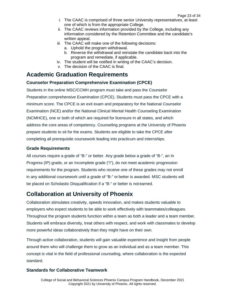- i. The CAAC is comprised of three senior University representatives, at least one of which is from the appropriate College.
- ii. The CAAC reviews information provided by the College, including any information considered by the Retention Committee and the candidate's written appeal.
- iii. The CAAC will make one of the following decisions:
	- a. Uphold the program withdrawal.
	- b. Reverse the withdrawal and reinstate the candidate back into the program and remediate, if applicable.
- iv. The student will be notified in writing of the CAAC's decision.
- v. The decision of the CAAC is final.

### <span id="page-22-0"></span>**Academic Graduation Requirements**

#### <span id="page-22-1"></span>**Counselor Preparation Comprehensive Examination (CPCE)**

Students in the online MSC/CCMH program must take and pass the Counselor Preparation comprehensive Examination (CPCE). Students must pass the CPCE with a minimum score. The CPCE is an exit exam and preparatory for the National Counselor Examination (NCE) and/or the National Clinical Mental Health Counseling Examination (NCMHCE), one or both of which are required for licensure in all states, and which address the core areas of competency. Counseling programs at the University of Phoenix prepare students to sit for the exams. Students are eligible to take the CPCE after completing all prerequisite coursework leading into practicum and internships.

#### <span id="page-22-2"></span>**Grade Requirements**

All courses require a grade of "B-" or better. Any grade below a grade of "B-", an In Progress (IP) grade, or an Incomplete grade ("I"), do not meet academic progression requirements for the program. Students who receive one of these grades may not enroll in any additional coursework until a grade of "B-" or better is awarded. MSC students will be placed on Scholastic Disqualification if a "B-" or better is not earned.

### <span id="page-22-3"></span>**Collaboration at University of Phoenix**

Collaboration stimulates creativity, speeds innovation, and makes students valuable to employers who expect students to be able to work effectively with teammates/colleagues. Throughout the program students function within a team as both a leader and a team member. Students will embrace diversity, treat others with respect, and work with classmates to develop more powerful ideas collaboratively than they might have on their own.

Through active collaboration, students will gain valuable experience and insight from people around them who will challenge them to grow as an individual and as a team member. This concept is vital in the field of professional counseling, where collaboration is the expected standard.

#### <span id="page-22-4"></span>**Standards for Collaborative Teamwork**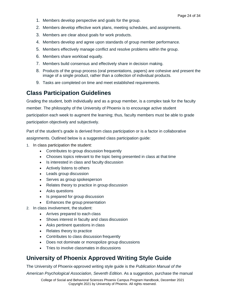- 1. Members develop perspective and goals for the group.
- 2. Members develop effective work plans, meeting schedules, and assignments.
- 3. Members are clear about goals for work products.
- 4. Members develop and agree upon standards of group member performance.
- 5. Members effectively manage conflict and resolve problems within the group.
- 6. Members share workload equally.
- 7. Members build consensus and effectively share in decision making.
- 8. Products of the group process (oral presentations, papers) are cohesive and present the image of a single product, rather than a collection of individual products.
- 9. Tasks are completed on time and meet established requirements.

### <span id="page-23-0"></span>**Class Participation Guidelines**

Grading the student, both individually and as a group member, is a complex task for the faculty member. The philosophy of the University of Phoenix is to encourage active student participation each week to augment the learning; thus, faculty members must be able to grade participation objectively and subjectively.

Part of the student's grade is derived from class participation or is a factor in collaborative assignments. Outlined below is a suggested class participation guide:

- 1. In class participation the student:
	- Contributes to group discussion frequently
	- Chooses topics relevant to the topic being presented in class at that time
	- Is interested in class and faculty discussion
	- Actively listens to others
	- Leads group discussion
	- Serves as group spokesperson
	- Relates theory to practice in group discussion
	- Asks questions
	- Is prepared for group discussion
	- Enhances the group presentation
- 2. In class involvement, the student:
	- Arrives prepared to each class
	- Shows interest in faculty and class discussion
	- Asks pertinent questions in class
	- Relates theory to practice
	- Contributes to class discussion frequently
	- Does not dominate or monopolize group discussions
	- Tries to involve classmates in discussions

### <span id="page-23-1"></span>**University of Phoenix Approved Writing Style Guide**

The University of Phoenix-approved writing style guide is the *Publication Manual of the* 

*American Psychological Association*, *Seventh Edition*. As a suggestion, purchase the manual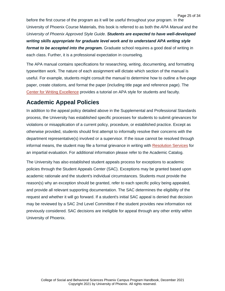before the first course of the program as it will be useful throughout your program. In the University of Phoenix Course Materials, this book is referred to as both the *APA Manual* and the *University of Phoenix Approved Style Guide*. *Students are expected to have well-developed writing skills appropriate for graduate level work and to understand APA writing style format to be accepted into the program.* Graduate school requires a good deal of writing in each class. Further, it is a professional expectation in counseling.

The APA manual contains specifications for researching, writing, documenting, and formatting typewritten work. The nature of each assignment will dictate which section of the manual is useful. For example, students might consult the manual to determine how to outline a five-page paper, create citations, and format the paper (including title page and reference page). The [Center for Writing Excellence](https://multimedia.phoenix.edu/cms/cwe) provides a tutorial on APA style for students and faculty.

### <span id="page-24-0"></span>**Academic Appeal Policies**

In addition to the appeal policy detailed above in the Supplemental and Professional Standards process, the University has established specific processes for students to submit grievances for violations or misapplication of a current policy, procedure, or established practice. Except as otherwise provided, students should first attempt to informally resolve their concerns with the department representative(s) involved or a supervisor. If the issue cannot be resolved through informal means, the student may file a formal grievance in writing with [Resolution Services](https://www.phoenix.edu/about_us/contact_us/dispute-management.html) for an impartial evaluation. For additional information please refer to the Academic Catalog.

The University has also established student appeals process for exceptions to academic policies through the Student Appeals Center (SAC). Exceptions may be granted based upon academic rationale and the student's individual circumstances. Students must provide the reason(s) why an exception should be granted, refer to each specific policy being appealed, and provide all relevant supporting documentation. The SAC determines the eligibility of the request and whether it will go forward. If a student's initial SAC appeal is denied that decision may be reviewed by a SAC 2nd Level Committee if the student provides new information not previously considered. SAC decisions are ineligible for appeal through any other entity within University of Phoenix.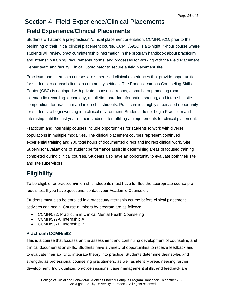## <span id="page-25-1"></span><span id="page-25-0"></span>Section 4: Field Experience/Clinical Placements **Field Experience/Clinical Placements**

Students will attend a pre-practicum/clinical placement orientation, CCMH/592O, prior to the beginning of their initial clinical placement course. CCMH/592O is a 1-night, 4-hour course where students will review practicum/internship information in the program handbook about practicum and internship training, requirements, forms, and processes for working with the Field Placement Center team and faculty Clinical Coordinator to secure a field placement site.

Practicum and internship courses are supervised clinical experiences that provide opportunities for students to counsel clients in community settings. The Phoenix campus Counseling Skills Center (CSC) is equipped with private counseling rooms, a small group meeting room, video/audio recording technology, a bulletin board for information sharing, and internship site compendium for practicum and internship students. Practicum is a highly supervised opportunity for students to begin working in a clinical environment. Students do not begin Practicum and Internship until the last year of their studies after fulfilling all requirements for clinical placement.

Practicum and Internship courses include opportunities for students to work with diverse populations in multiple modalities. The clinical placement courses represent continued experiential training and 700 total hours of documented direct and indirect clinical work. Site Supervisor Evaluations of student performance assist in determining areas of focused training completed during clinical courses. Students also have an opportunity to evaluate both their site and site supervisors.

## <span id="page-25-2"></span>**Eligibility**

To be eligible for practicum/internship, students must have fulfilled the appropriate course prerequisites. If you have questions, contact your Academic Counselor.

Students must also be enrolled in a practicum/internship course before clinical placement activities can begin. Course numbers by program are as follows:

- CCMH/592: Practicum in Clinical Mental Health Counseling
- CCMH/597A: Internship A
- CCMH/597B: Internship B

#### <span id="page-25-3"></span>**Practicum CCMH/592**

This is a course that focuses on the assessment and continuing development of counseling and clinical documentation skills. Students have a variety of opportunities to receive feedback and to evaluate their ability to integrate theory into practice. Students determine their styles and strengths as professional counseling practitioners, as well as identify areas needing further development. Individualized practice sessions, case management skills, and feedback are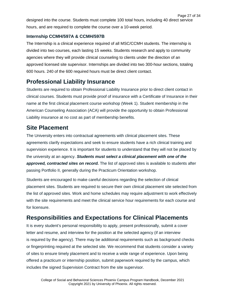Page 27 of 34 designed into the course. Students must complete 100 total hours, including 40 direct service hours, and are required to complete the course over a 10-week period.

#### <span id="page-26-0"></span>**Internship CCMH/597A & CCMH/597B**

The Internship is a clinical experience required of all MSC/CCMH students. The internship is divided into two courses, each lasting 15 weeks. Students research and apply to community agencies where they will provide clinical counseling to clients under the direction of an approved licensed site supervisor. Internships are divided into two 300-hour sections, totaling 600 hours. 240 of the 600 required hours must be direct client contact.

### <span id="page-26-1"></span>**Professional Liability Insurance**

Students are required to obtain Professional Liability Insurance prior to direct client contact in clinical courses. Students must provide proof of insurance with a Certificate of Insurance in their name at the first clinical placement course workshop (Week 1). Student membership in the American Counseling Association (ACA) will provide the opportunity to obtain Professional Liability insurance at no cost as part of membership benefits.

### <span id="page-26-2"></span>**Site Placement**

The University enters into contractual agreements with clinical placement sites. These agreements clarify expectations and seek to ensure students have a rich clinical training and supervision experience. It is important for students to understand that they will not be placed by the university at an agency. *Students must select a clinical placement with one of the*  approved, contracted sites on record. The list of approved sites is available to students after passing Portfolio II, generally during the Practicum Orientation workshop.

Students are encouraged to make careful decisions regarding the selection of clinical placement sites. Students are required to secure their own clinical placement site selected from the list of approved sites. Work and home schedules may require adjustment to work effectively with the site requirements and meet the clinical service hour requirements for each course and for licensure.

### <span id="page-26-3"></span>**Responsibilities and Expectations for Clinical Placements**

It is every student's personal responsibility to apply, present professionally, submit a cover letter and resume, and interview for the position at the selected agency (if an interview is required by the agency). There may be additional requirements such as background checks or fingerprinting required at the selected site. We recommend that students consider a variety of sites to ensure timely placement and to receive a wide range of experience. Upon being offered a practicum or internship position, submit paperwork required by the campus, which includes the signed Supervision Contract from the site supervisor.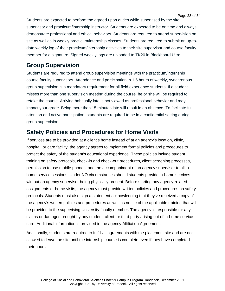Students are expected to perform the agreed upon duties while supervised by the site supervisor and practicum/internship instructor. Students are expected to be on time and always demonstrate professional and ethical behaviors. Students are required to attend supervision on site as well as in weekly practicum/internship classes. Students are required to submit an up-todate weekly log of their practicum/internship activities to their site supervisor and course faculty member for a signature. Signed weekly logs are uploaded to TK20 in Blackboard Ultra.

### <span id="page-27-0"></span>**Group Supervision**

Students are required to attend group supervision meetings with the practicum/internship course faculty supervisors. Attendance and participation in 1.5 hours of weekly, synchronous group supervision is a mandatory requirement for all field experience students. If a student misses more than one supervision meeting during the course, he or she will be required to retake the course. Arriving habitually late is not viewed as professional behavior and may impact your grade. Being more than 15 minutes late will result in an absence. To facilitate full attention and active participation, students are required to be in a confidential setting during group supervision.

### <span id="page-27-1"></span>**Safety Policies and Procedures for Home Visits**

If services are to be provided at a client's home instead of at an agency's location, clinic, hospital, or care facility, the agency agrees to implement formal policies and procedures to protect the safety of the student's educational experience. These policies include student training on safety protocols, check-in and check-out procedures, client screening processes, permission to use mobile phones, and the accompaniment of an agency supervisor to all inhome service sessions. Under NO circumstances should students provide in-home services without an agency supervisor being physically present. Before starting any agency-related assignments or home visits, the agency must provide written policies and procedures on safety protocols. Students must also sign a statement acknowledging that they've received a copy of the agency's written policies and procedures as well as notice of the applicable training that will be provided to the supervising University faculty member. The agency is responsible for any claims or damages brought by any student, client, or third party arising out of in-home service care. Additional information is provided in the agency Affiliation Agreement.

Additionally, students are required to fulfill all agreements with the placement site and are not allowed to leave the site until the internship course is complete even if they have completed their hours.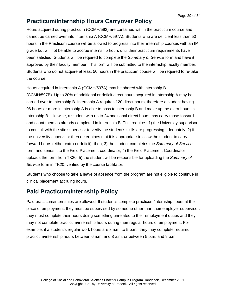### <span id="page-28-0"></span>**Practicum/Internship Hours Carryover Policy**

Hours acquired during practicum (CCMH/592) are contained within the practicum course and cannot be carried over into internship A (CCMH/597A). Students who are deficient less than 50 hours in the Practicum course will be allowed to progress into their internship courses with an IP grade but will not be able to accrue internship hours until their practicum requirements have been satisfied. Students will be required to complete the *Summary of Service* form and have it approved by their faculty member. This form will be submitted to the internship faculty member. Students who do not acquire at least 50 hours in the practicum course will be required to re-take the course.

Hours acquired in Internship A (CCMH/597A) may be shared with internship B (CCMH/597B). Up to 20% of additional or deficit direct hours acquired in Internship A may be carried over to Internship B. Internship A requires 120 direct hours, therefore a student having 96 hours or more in internship A is able to pass to internship B and make up the extra hours in Internship B. Likewise, a student with up to 24 additional direct hours may carry those forward and count them as already completed in internship B. This requires: 1) the University supervisor to consult with the site supervisor to verify the student's skills are progressing adequately; 2) if the university supervisor then determines that it is appropriate to allow the student to carry forward hours (either extra or deficit), then; 3) the student completes the *Summary of Service*  form and sends it to the Field Placement coordinator; 4) the Field Placement Coordinator uploads the form from TK20; 5) the student will be responsible for uploading the *Summary of Service* form in TK20, verified by the course facilitator.

Students who choose to take a leave of absence from the program are not eligible to continue in clinical placement accruing hours.

### <span id="page-28-1"></span>**Paid Practicum/Internship Policy**

Paid practicum/internships are allowed. If student's complete practicum/internship hours at their place of employment, they must be supervised by someone other than their employer supervisor; they must complete their hours doing something unrelated to their employment duties and they may not complete practicum/internship hours during their regular hours of employment. For example, if a student's regular work hours are 8 a.m. to 5 p.m., they may complete required practicum/internship hours between 6 a.m. and 8 a.m. or between 5 p.m. and 9 p.m.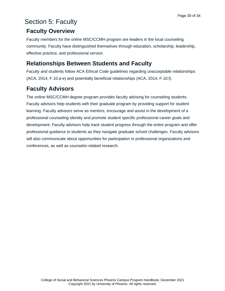## <span id="page-29-0"></span>Section 5: Faculty

### <span id="page-29-1"></span>**Faculty Overview**

Faculty members for the online MSC/CCMH program are leaders in the local counseling community. Faculty have distinguished themselves through education, scholarship, leadership, effective practice, and professional service.

### <span id="page-29-2"></span>**Relationships Between Students and Faculty**

Faculty and students follow ACA Ethical Code guidelines regarding unacceptable relationships (ACA, 2014, F.10.a-e) and potentially beneficial relationships (ACA, 2014, F.10.f).

## <span id="page-29-3"></span>**Faculty Advisors**

The online MSC/CCMH degree program provides faculty advising for counseling students. Faculty advisors help students with their graduate program by providing support for student learning. Faculty advisors serve as mentors, encourage and assist in the development of a professional counseling identity and promote student specific professional career goals and development. Faculty advisors help track student progress through the entire program and offer professional guidance to students as they navigate graduate school challenges. Faculty advisors will also communicate about opportunities for participation in professional organizations and conferences, as well as counselor-related research.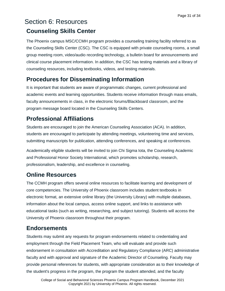## <span id="page-30-1"></span><span id="page-30-0"></span>Section 6: Resources **Counseling Skills Center**

The Phoenix campus MSC/CCMH program provides a counseling training facility referred to as the Counseling Skills Center (CSC). The CSC is equipped with private counseling rooms, a small group meeting room, video/audio recording technology, a bulletin board for announcements and clinical course placement information. In addition, the CSC has testing materials and a library of counseling resources, including textbooks, videos, and testing materials.

## <span id="page-30-2"></span>**Procedures for Disseminating Information**

It is important that students are aware of programmatic changes, current professional and academic events and learning opportunities. Students receive information through mass emails, faculty announcements in class, in the electronic forums/Blackboard classroom, and the program message board located in the Counseling Skills Centers.

## <span id="page-30-3"></span>**Professional Affiliations**

Students are encouraged to join the American Counseling Association (ACA). In addition, students are encouraged to participate by attending meetings, volunteering time and services, submitting manuscripts for publication, attending conferences, and speaking at conferences.

Academically eligible students will be invited to join Chi Sigma Iota, the Counseling Academic and Professional Honor Society International, which promotes scholarship, research, professionalism, leadership, and excellence in counseling.

### <span id="page-30-4"></span>**Online Resources**

The CCMH program offers several online resources to facilitate learning and development of core competencies. The University of Phoenix classroom includes student textbooks in electronic format, an extensive online library (the University Library) with multiple databases, information about the local campus, access online support, and links to assistance with educational tasks (such as writing, researching, and subject tutoring). Students will access the University of Phoenix classroom throughout their program.

## <span id="page-30-5"></span>**Endorsements**

Students may submit any requests for program endorsements related to credentialing and employment through the Field Placement Team, who will evaluate and provide such endorsement in consultation with Accreditation and Regulatory Compliance (ARC) administrative faculty and with approval and signature of the Academic Director of Counseling. Faculty may provide personal references for students, with appropriate consideration as to their knowledge of the student's progress in the program, the program the student attended, and the faculty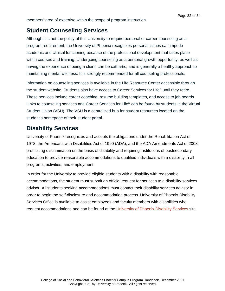### <span id="page-31-0"></span>**Student Counseling Services**

Although it is not the policy of this University to require personal or career counseling as a program requirement, the University of Phoenix recognizes personal issues can impede academic and clinical functioning because of the professional development that takes place within courses and training. Undergoing counseling as a personal growth opportunity, as well as having the experience of being a client, can be cathartic, and is generally a healthy approach to maintaining mental wellness. It is strongly recommended for all counseling professionals.

Information on counseling services is available in the Life Resource Center accessible through the student website. Students also have access to Career Services for Life® until they retire. These services include career coaching, resume building templates, and access to job boards. Links to counseling services and Career Services for Life® can be found by students in the Virtual Student Union (VSU). The VSU is a centralized hub for student resources located on the student's homepage of their student portal.

### <span id="page-31-1"></span>**Disability Services**

University of Phoenix recognizes and accepts the obligations under the Rehabilitation Act of 1973, the Americans with Disabilities Act of 1990 (ADA), and the ADA Amendments Act of 2008, prohibiting discrimination on the basis of disability and requiring institutions of postsecondary education to provide reasonable accommodations to qualified individuals with a disability in all programs, activities, and employment.

In order for the University to provide eligible students with a disability with reasonable accommodations, the student must submit an official request for services to a disability services advisor. All students seeking accommodations must contact their disability services advisor in order to begin the self-disclosure and accommodation process. University of Phoenix Disability Services Office is available to assist employees and faculty members with disabilities who request accommodations and can be found at the [University of Phoenix Disability Services](https://www.phoenix.edu/students/disability-services.html) site.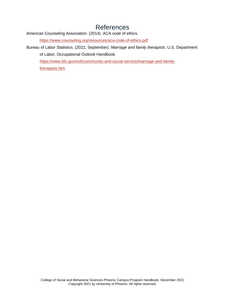## References

<span id="page-32-0"></span>American Counseling Association. (2014). ACA code of ethics.

<https://www.counseling.org/resources/aca-code-of-ethics.pdf>

Bureau of Labor Statistics. (2021, September). *Marriage and family therapists*. U.S. Department of Labor, Occupational Outlook Handbook.

[https://www.bls.gov/ooh/community-and-social-service/marriage-and-family-](https://www.bls.gov/ooh/community-and-social-service/marriage-and-family-therapists.htm)

[therapists.htm](https://www.bls.gov/ooh/community-and-social-service/marriage-and-family-therapists.htm)